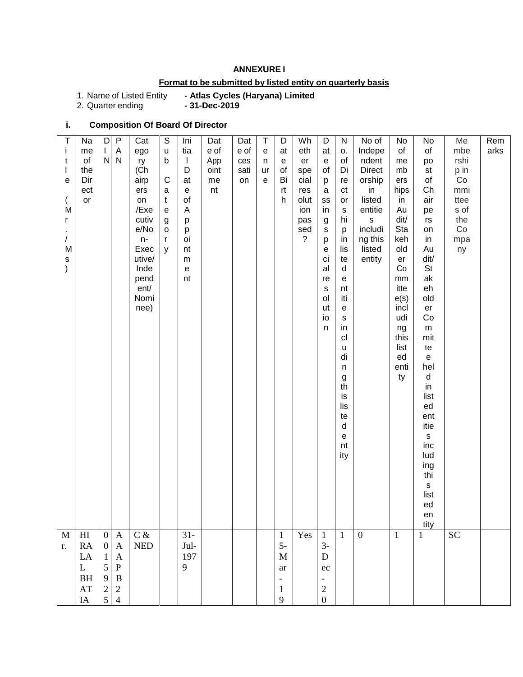### **ANNEXURE I**

## **Format to be submitted by listed entity on quarterly basis**

1. Name of Listed Entity<br>2. Quarter ending

- Atlas Cycles (Haryana) Limited<br>- 31-Dec-2019

# **i. Composition Of Board Of Director**

| Т             | Na                      | D                                          | P             | Cat                         | $\mathsf S$                                | Ini                                        | Dat  | Dat  | $\sf T$ | D                        | Wh             | D                                 | ${\sf N}$      | No of          | No           | No                                | Me        | Rem  |
|---------------|-------------------------|--------------------------------------------|---------------|-----------------------------|--------------------------------------------|--------------------------------------------|------|------|---------|--------------------------|----------------|-----------------------------------|----------------|----------------|--------------|-----------------------------------|-----------|------|
| Ť             | me                      | $\mathsf I$                                | Α             | ego                         | u                                          | tia                                        | e of | e of | e       | at                       | eth            | at                                | о.             | Indepe         | of           | of                                | mbe       | arks |
| t             | of                      | N                                          | N             | ry                          | b                                          | $\perp$                                    | App  | ces  | n       | e                        | er             | $\mathsf{e}% _{t}\left( t\right)$ | of             | ndent          | me           | po                                | rshi      |      |
|               | the                     |                                            |               | (Ch                         |                                            | D                                          | oint | sati | ur      | of                       | spe            | of                                | Di             | <b>Direct</b>  | mb           | st                                | p in      |      |
| е             | Dir                     |                                            |               | airp                        | $\mathsf{C}$                               | at                                         | me   | on   | e       | Bi                       | cial           | р                                 | re             | orship         | ers          | of                                | Co        |      |
|               | ect                     |                                            |               | ers                         | $\mathsf a$                                | ${\bf e}$                                  | nt   |      |         | rt                       | res            | a                                 | ct             | in             | hips         | Ch                                | mmi       |      |
|               | or                      |                                            |               | on                          | t                                          | of                                         |      |      |         | h                        | olut           | SS                                | or             | listed         | in           | air                               | ttee      |      |
| $\dot{M}$     |                         |                                            |               | /Exe                        | $\mathsf{e}% _{0}\left( \mathsf{e}\right)$ | A                                          |      |      |         |                          | ion            | in                                | s              | entitie        | Au           | pe                                | s of      |      |
| r             |                         |                                            |               | cutiv                       | $\boldsymbol{g}$                           | р                                          |      |      |         |                          | pas            | g                                 | hi             | $\mathsf{s}$   | dit/         | rs                                | the       |      |
|               |                         |                                            |               | e/No                        | $\mathsf{o}$                               | p                                          |      |      |         |                          | sed            | $\mathbb S$                       | р              | includi        | Sta          | on                                | Co        |      |
| $\sqrt{2}$    |                         |                                            |               | $n-$                        | r                                          | oi                                         |      |      |         |                          | $\overline{?}$ | p                                 | in             | ng this        | keh          | in                                | mpa       |      |
| M             |                         |                                            |               | Exec                        | y                                          | nt                                         |      |      |         |                          |                | е                                 | lis            | listed         | old          | Au                                | ny        |      |
| s             |                         |                                            |               | utive/                      |                                            | m                                          |      |      |         |                          |                | ci                                | te             | entity         | er           | dit/                              |           |      |
| $\mathcal{C}$ |                         |                                            |               | Inde                        |                                            | $\mathsf{e}% _{0}\left( \mathsf{e}\right)$ |      |      |         |                          |                | al                                | d              |                | Co           | <b>St</b>                         |           |      |
|               |                         |                                            |               | pend                        |                                            | nt                                         |      |      |         |                          |                | re                                | e              |                | mm           | ak                                |           |      |
|               |                         |                                            |               | ent/                        |                                            |                                            |      |      |         |                          |                | $\mathsf{s}$                      | nt             |                | itte         | eh                                |           |      |
|               |                         |                                            |               | Nomi                        |                                            |                                            |      |      |         |                          |                | ol                                | iti            |                | e(s)         | old                               |           |      |
|               |                         |                                            |               | nee)                        |                                            |                                            |      |      |         |                          |                | ut                                | e              |                | incl         | er                                |           |      |
|               |                         |                                            |               |                             |                                            |                                            |      |      |         |                          |                | io                                | $\mathbb S$    |                | udi          | Co                                |           |      |
|               |                         |                                            |               |                             |                                            |                                            |      |      |         |                          |                | n                                 | in             |                | ng           | ${\sf m}$                         |           |      |
|               |                         |                                            |               |                             |                                            |                                            |      |      |         |                          |                |                                   | c <sub>l</sub> |                | this         | mit                               |           |      |
|               |                         |                                            |               |                             |                                            |                                            |      |      |         |                          |                |                                   | u              |                | list         | te                                |           |      |
|               |                         |                                            |               |                             |                                            |                                            |      |      |         |                          |                |                                   | di             |                | ed           | $\mathsf{e}% _{t}\left( t\right)$ |           |      |
|               |                         |                                            |               |                             |                                            |                                            |      |      |         |                          |                |                                   | n              |                | enti         | hel                               |           |      |
|               |                         |                                            |               |                             |                                            |                                            |      |      |         |                          |                |                                   | g              |                | ty           | $\sf d$                           |           |      |
|               |                         |                                            |               |                             |                                            |                                            |      |      |         |                          |                |                                   | th             |                |              | in                                |           |      |
|               |                         |                                            |               |                             |                                            |                                            |      |      |         |                          |                |                                   | is             |                |              | list                              |           |      |
|               |                         |                                            |               |                             |                                            |                                            |      |      |         |                          |                |                                   | lis<br>te      |                |              | ed<br>ent                         |           |      |
|               |                         |                                            |               |                             |                                            |                                            |      |      |         |                          |                |                                   | d              |                |              | itie                              |           |      |
|               |                         |                                            |               |                             |                                            |                                            |      |      |         |                          |                |                                   | е              |                |              | $\mathsf S$                       |           |      |
|               |                         |                                            |               |                             |                                            |                                            |      |      |         |                          |                |                                   | $\sf nt$       |                |              | inc                               |           |      |
|               |                         |                                            |               |                             |                                            |                                            |      |      |         |                          |                |                                   | ity            |                |              | lud                               |           |      |
|               |                         |                                            |               |                             |                                            |                                            |      |      |         |                          |                |                                   |                |                |              | ing                               |           |      |
|               |                         |                                            |               |                             |                                            |                                            |      |      |         |                          |                |                                   |                |                |              | thi                               |           |      |
|               |                         |                                            |               |                             |                                            |                                            |      |      |         |                          |                |                                   |                |                |              | $\mathsf{s}$                      |           |      |
|               |                         |                                            |               |                             |                                            |                                            |      |      |         |                          |                |                                   |                |                |              | list                              |           |      |
|               |                         |                                            |               |                             |                                            |                                            |      |      |         |                          |                |                                   |                |                |              | ed                                |           |      |
|               |                         |                                            |               |                             |                                            |                                            |      |      |         |                          |                |                                   |                |                |              | en                                |           |      |
|               |                         |                                            |               |                             |                                            |                                            |      |      |         |                          |                |                                   |                |                |              | tity                              |           |      |
| M             | H                       | $\boldsymbol{0}$                           | $\mathbf{A}$  | $C$ &                       |                                            | $31 -$                                     |      |      |         | $\mathbf{1}$             | Yes            | $\mathbf{1}$                      | $\mathbf{1}$   | $\overline{0}$ | $\mathbf{1}$ | $\mathbf{1}$                      | <b>SC</b> |      |
| r.            | ${\sf RA}$              | $\boldsymbol{0}$                           | $\mathbf{A}$  | $\ensuremath{\mathsf{NED}}$ |                                            | Jul-                                       |      |      |         | $5-$                     |                | $3-$                              |                |                |              |                                   |           |      |
|               | $\rm LA$                | $\mathbf{1}$                               | $\mathbf{A}$  |                             |                                            | 197                                        |      |      |         | $\mathbf M$              |                | ${\bf D}$                         |                |                |              |                                   |           |      |
|               | $\mathbf{L}$            | $\sqrt{5}$                                 | ${\bf P}$     |                             |                                            | 9                                          |      |      |         | ar                       |                | $\rm ec$                          |                |                |              |                                   |           |      |
|               | $\mathbf{B} \mathbf{H}$ |                                            | $\, {\bf B}$  |                             |                                            |                                            |      |      |         | $\overline{\phantom{a}}$ |                | -                                 |                |                |              |                                   |           |      |
|               | $\mathbf{A}\mathbf{T}$  |                                            |               |                             |                                            |                                            |      |      |         | $\mathbf{1}$             |                | $\overline{c}$                    |                |                |              |                                   |           |      |
|               | $\rm IA$                | $\begin{array}{c} 9 \\ 2 \\ 5 \end{array}$ | $\frac{2}{4}$ |                             |                                            |                                            |      |      |         | $\overline{9}$           |                | $\boldsymbol{0}$                  |                |                |              |                                   |           |      |
|               |                         |                                            |               |                             |                                            |                                            |      |      |         |                          |                |                                   |                |                |              |                                   |           |      |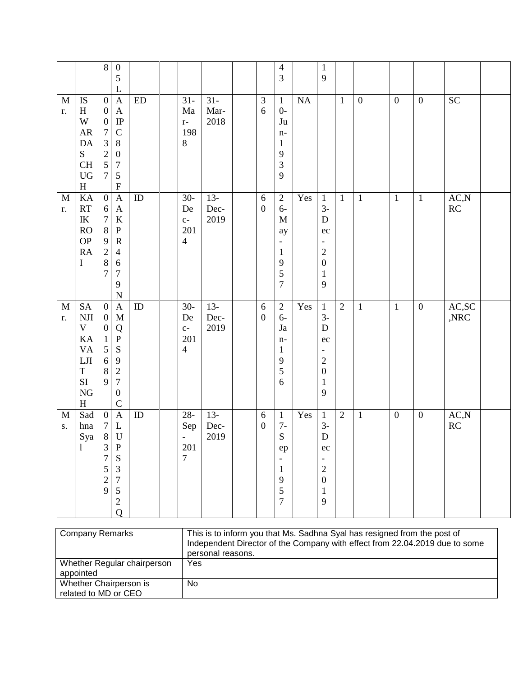|                             |                                                                                                            | $\,8\,$                                                                                                                    | $\boldsymbol{0}$<br>$\mathfrak s$<br>L                                                                                                                                |            |                                                                        |                        |                                  | $\overline{4}$<br>3                                                                                     |     | $\mathbf{1}$<br>9                                                                                         |              |                  |                  |                  |                          |  |
|-----------------------------|------------------------------------------------------------------------------------------------------------|----------------------------------------------------------------------------------------------------------------------------|-----------------------------------------------------------------------------------------------------------------------------------------------------------------------|------------|------------------------------------------------------------------------|------------------------|----------------------------------|---------------------------------------------------------------------------------------------------------|-----|-----------------------------------------------------------------------------------------------------------|--------------|------------------|------------------|------------------|--------------------------|--|
| $\mathbf M$<br>r.           | <b>IS</b><br>H<br>W<br>${\sf AR}$<br>DA<br>S<br><b>CH</b><br>${\rm U}{\rm G}$<br>$\boldsymbol{\mathrm{H}}$ | $\boldsymbol{0}$<br>$\boldsymbol{0}$<br>$\boldsymbol{0}$<br>$\boldsymbol{7}$<br>3<br>$\overline{c}$<br>5<br>$\overline{7}$ | $\mathbf{A}$<br>$\boldsymbol{\mathsf{A}}$<br>$\rm IP$<br>$\mathcal{C}$<br>$8\,$<br>$\boldsymbol{0}$<br>$\boldsymbol{7}$<br>$\mathfrak s$<br>$\boldsymbol{\mathrm{F}}$ | ${\rm ED}$ | $31 -$<br>Ma<br>$r-$<br>198<br>$\, 8$                                  | $31 -$<br>Mar-<br>2018 | $\ensuremath{\mathfrak{Z}}$<br>6 | $\mathbf{1}$<br>$0-$<br>Ju<br>$n-$<br>$\mathbf{1}$<br>9<br>3<br>9                                       | NA  |                                                                                                           | $\mathbf{1}$ | $\boldsymbol{0}$ | $\boldsymbol{0}$ | $\boldsymbol{0}$ | $\overline{SC}$          |  |
| $\mathbf M$<br>r.           | KA<br>RT<br>$\ensuremath{\textup{IK}}\xspace$<br>RO<br><b>OP</b><br><b>RA</b><br>$\bf I$                   | $\overline{0}$<br>6<br>$\boldsymbol{7}$<br>$\, 8$<br>9<br>$\overline{2}$<br>$\,8\,$<br>$\overline{7}$                      | $\mathbf{A}$<br>$\mathbf{A}$<br>$\bf K$<br>$\mathbf P$<br>${\bf R}$<br>4<br>6<br>$\overline{7}$<br>9<br>$\mathbf N$                                                   | ${\rm ID}$ | $30-$<br>De<br>$C-$<br>201<br>$\overline{4}$                           | $13-$<br>Dec-<br>2019  | $\sqrt{6}$<br>$\boldsymbol{0}$   | $\sqrt{2}$<br>$6-$<br>M<br>ay<br>$\overline{\phantom{a}}$<br>$\mathbf{1}$<br>9<br>5<br>$\boldsymbol{7}$ | Yes | $\mathbf{1}$<br>$3-$<br>$\mathbf D$<br>ec<br>$\sqrt{2}$<br>$\boldsymbol{0}$<br>$\mathbf{1}$<br>9          | $\mathbf{1}$ | $\mathbf{1}$     | $\overline{1}$   | $\overline{1}$   | AC, N<br>RC              |  |
| $\mathbf M$<br>r.           | <b>SA</b><br>NJI<br>V<br>KA<br><b>VA</b><br>$_{\rm LJI}$<br>$\mathbf T$<br>SI<br>${\rm NG}$<br>H           | $\boldsymbol{0}$<br>$\boldsymbol{0}$<br>$\boldsymbol{0}$<br>$\mathbf{1}$<br>$\mathfrak{S}$<br>$\sqrt{6}$<br>$\,8\,$<br>9   | $\boldsymbol{\mathsf{A}}$<br>M<br>Q<br>${\bf P}$<br>S<br>9<br>$\sqrt{2}$<br>$\boldsymbol{7}$<br>$\boldsymbol{0}$<br>$\mathsf{C}$                                      | ID         | $30-$<br>De<br>$C-$<br>201<br>$\overline{4}$                           | $13 -$<br>Dec-<br>2019 | $\sqrt{6}$<br>$\boldsymbol{0}$   | $\sqrt{2}$<br>$6-$<br>Ja<br>$n-$<br>$\mathbf{1}$<br>9<br>5<br>6                                         | Yes | $\mathbf{1}$<br>$3-$<br>$\mathbf D$<br>ec<br>$\overline{c}$<br>$\boldsymbol{0}$<br>$\mathbf{1}$<br>9      | $\sqrt{2}$   | $\mathbf{1}$     | $\mathbf{1}$     | $\boldsymbol{0}$ | AC, SC<br>$,\!{\rm NRC}$ |  |
| $\mathbf{M}$<br>${\bf S}$ . | Sad<br>hna<br>Sya<br>$\mathbf{1}$                                                                          | $\boldsymbol{0}$<br>$\tau$<br>$8\,$<br>3<br>$\overline{7}$<br>5<br>$\overline{c}$<br>9                                     | $\mathbf{A}$<br>L<br>${\bf U}$<br>$\mathbf P$<br>${\bf S}$<br>$\mathfrak{Z}$<br>$\boldsymbol{7}$<br>$\mathfrak s$<br>$\sqrt{2}$<br>Q                                  | ID         | $28 -$<br>Sep<br>$\qquad \qquad \blacksquare$<br>201<br>$\overline{7}$ | $13-$<br>Dec-<br>2019  | $\sqrt{6}$<br>$\boldsymbol{0}$   | $\mathbf{1}$<br>$7-$<br>${\bf S}$<br>ep<br>$\mathbf{1}$<br>9<br>5<br>$\overline{7}$                     | Yes | $\mathbf{1}$<br>$3-$<br>${\bf D}$<br>ec<br>$\sqrt{2}$<br>$\boldsymbol{0}$<br>$\mathbf{1}$<br>$\mathbf{9}$ | $\sqrt{2}$   | $\mathbf{1}$     | $\boldsymbol{0}$ | $\boldsymbol{0}$ | AC, N<br>RC              |  |

| <b>Company Remarks</b>                         | This is to inform you that Ms. Sadhna Syal has resigned from the post of<br>Independent Director of the Company with effect from 22.04.2019 due to some<br>personal reasons. |
|------------------------------------------------|------------------------------------------------------------------------------------------------------------------------------------------------------------------------------|
| Whether Regular chairperson<br>appointed       | Yes                                                                                                                                                                          |
| Whether Chairperson is<br>related to MD or CEO | No                                                                                                                                                                           |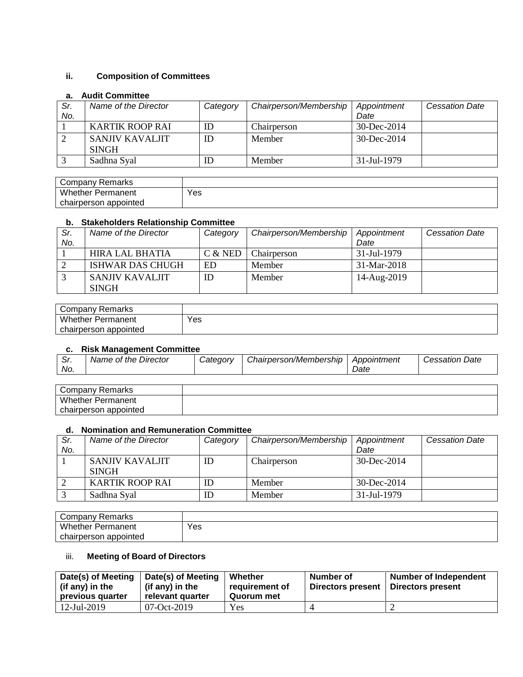## **ii. Composition of Committees**

#### **a. Audit Committee**

| . . |                      |          |                        |                   |                       |
|-----|----------------------|----------|------------------------|-------------------|-----------------------|
| Sr. | Name of the Director | Category | Chairperson/Membership | Appointment       | <b>Cessation Date</b> |
| No. |                      |          |                        | Date              |                       |
|     | KARTIK ROOP RAI      | ID       | Chairperson            | $30 - Dec - 2014$ |                       |
|     | SANJIV KAVALJIT      | ID       | Member                 | $30 - Dec - 2014$ |                       |
|     | <b>SINGH</b>         |          |                        |                   |                       |
|     | Sadhna Syal          | ID       | Member                 | 31-Jul-1979       |                       |

| Company Remarks          |     |
|--------------------------|-----|
| Whether<br>Permanent     | Yes |
| chairperson<br>appointed |     |

### **b. Stakeholders Relationship Committee**

| Sr. | Name of the Director            | Category  | Chairperson/Membership | Appointment | <b>Cessation Date</b> |
|-----|---------------------------------|-----------|------------------------|-------------|-----------------------|
| No. |                                 |           |                        | Date        |                       |
|     | HIRA LAL BHATIA                 | $C &$ NED | Chairperson            | 31-Jul-1979 |                       |
|     | <b>ISHWAR DAS CHUGH</b>         | ED        | Member                 | 31-Mar-2018 |                       |
|     | SANJIV KAVALJIT<br><b>SINGH</b> | ID        | Member                 | 14-Aug-2019 |                       |

| Company Remarks          |     |
|--------------------------|-----|
| <b>Whether Permanent</b> | Yes |
| appointed<br>chairperson |     |

#### **c. Risk Management Committee**

| .<br>. <i>ا</i> ت | Director<br>Name of the | <i>Categorv</i> | Chairperson/Membership | Appointment | Date<br><i>Cessation</i> |
|-------------------|-------------------------|-----------------|------------------------|-------------|--------------------------|
| No.               |                         |                 |                        | Date        |                          |

| Company<br>Remarks       |  |
|--------------------------|--|
| <b>Whether Permanent</b> |  |
| chairperson appointed    |  |

#### **d. Nomination and Remuneration Committee**

| Sr.<br>No. | Name of the Director            | Category | Chairperson/Membership | Appointment<br>Date | <b>Cessation Date</b> |
|------------|---------------------------------|----------|------------------------|---------------------|-----------------------|
|            | SANJIV KAVALJIT<br><b>SINGH</b> | ID       | Chairperson            | $30 - Dec - 2014$   |                       |
|            | <b>KARTIK ROOP RAI</b>          | ID       | Member                 | $30 - Dec - 2014$   |                       |
|            | Sadhna Syal                     | ID       | Member                 | 31-Jul-1979         |                       |

| <b>Company Remarks</b>   |     |
|--------------------------|-----|
| <b>Whether Permanent</b> | Yes |
| chairperson appointed    |     |

## iii. **Meeting of Board of Directors**

| Date(s) of Meeting<br>(if any) in the<br>previous quarter | Date(s) of Meeting<br>(if any) in the<br>relevant quarter | Whether<br>requirement of<br>Quorum met | Number of<br>Directors present | Number of Independent<br>Directors present |
|-----------------------------------------------------------|-----------------------------------------------------------|-----------------------------------------|--------------------------------|--------------------------------------------|
| $12$ -Jul-2019                                            | 07-Oct-2019                                               | Yes                                     |                                |                                            |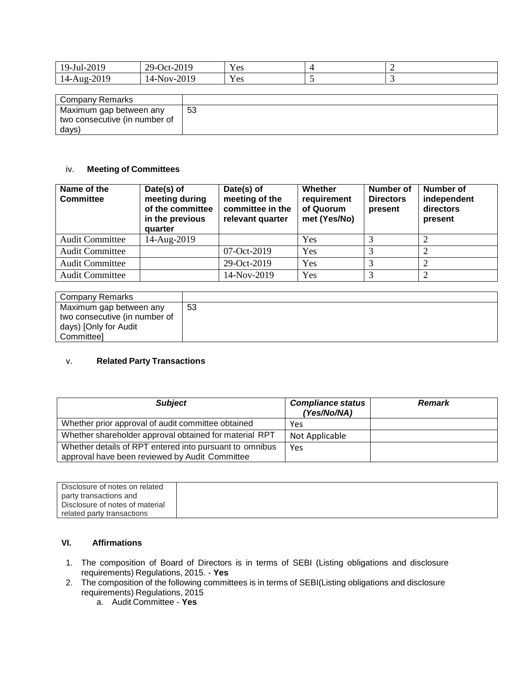| $-2019$<br>$19$ -Jul- | $-2019$<br>$29-$<br>$Oct-$ | $ -$<br>Y es |  |
|-----------------------|----------------------------|--------------|--|
| 2019<br>$14$ -Aug-    | $-2019$<br>14-Nov-2        | - -<br>Y es  |  |

| Company Remarks               |    |
|-------------------------------|----|
| Maximum gap between any       | 53 |
| two consecutive (in number of |    |
| days)                         |    |

#### iv. **Meeting of Committees**

| Name of the<br><b>Committee</b> | Date(s) of<br>meeting during<br>of the committee<br>in the previous<br>quarter | Date(s) of<br>meeting of the<br>committee in the<br>relevant quarter | Whether<br>requirement<br>of Quorum<br>met (Yes/No) | Number of<br><b>Directors</b><br>present | <b>Number of</b><br>independent<br>directors<br>present |
|---------------------------------|--------------------------------------------------------------------------------|----------------------------------------------------------------------|-----------------------------------------------------|------------------------------------------|---------------------------------------------------------|
| <b>Audit Committee</b>          | 14-Aug-2019                                                                    |                                                                      | Yes                                                 |                                          |                                                         |
| <b>Audit Committee</b>          |                                                                                | $07-Oct-2019$                                                        | Yes                                                 |                                          |                                                         |
| <b>Audit Committee</b>          |                                                                                | 29-Oct-2019                                                          | Yes                                                 |                                          |                                                         |
| <b>Audit Committee</b>          |                                                                                | 14-Nov-2019                                                          | Yes                                                 |                                          |                                                         |

| Company Remarks               |    |
|-------------------------------|----|
| Maximum gap between any       | 53 |
| two consecutive (in number of |    |
| days) [Only for Audit         |    |
| Committeel                    |    |

#### v. **Related Party Transactions**

| <b>Subject</b>                                                                                            | <b>Compliance status</b><br>(Yes/No/NA) | <b>Remark</b> |
|-----------------------------------------------------------------------------------------------------------|-----------------------------------------|---------------|
| Whether prior approval of audit committee obtained                                                        | Yes                                     |               |
| Whether shareholder approval obtained for material RPT                                                    | Not Applicable                          |               |
| Whether details of RPT entered into pursuant to omnibus<br>approval have been reviewed by Audit Committee | Yes                                     |               |

| Disclosure of notes on related  |  |
|---------------------------------|--|
| party transactions and          |  |
| Disclosure of notes of material |  |
| related party transactions      |  |

#### **VI. Affirmations**

- 1. The composition of Board of Directors is in terms of SEBI (Listing obligations and disclosure requirements) Regulations, 2015. - **Yes**
- 2. The composition of the following committees is in terms of SEBI(Listing obligations and disclosure requirements) Regulations, 2015
	- a. Audit Committee **Yes**